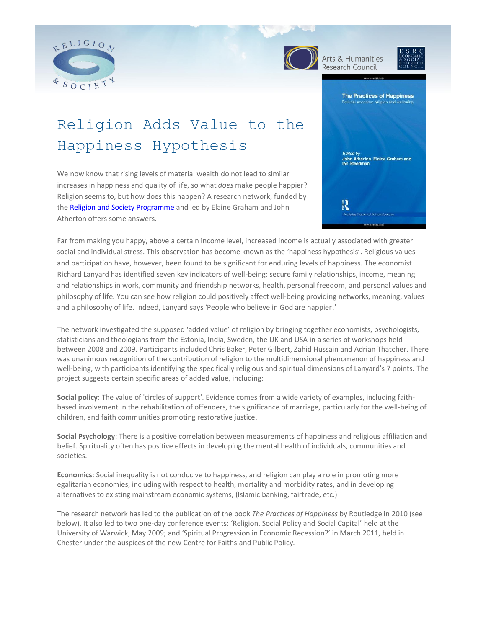



Arts & Humanities Research Council



#### **The Practices of Happiness**

# Religion Adds Value to the Happiness Hypothesis

We now know that rising levels of material wealth do not lead to similar increases in happiness and quality of life, so what *does* make people happier? Religion seems to, but how does this happen? A research network, funded by the [Religion and Society Programme](http://www.religionandsociety.org.uk/) and led by Elaine Graham and John Atherton offers some answers.



Far from making you happy, above a certain income level, increased income is actually associated with greater social and individual stress. This observation has become known as the 'happiness hypothesis'. Religious values and participation have, however, been found to be significant for enduring levels of happiness. The economist Richard Lanyard has identified seven key indicators of well-being: secure family relationships, income, meaning and relationships in work, community and friendship networks, health, personal freedom, and personal values and philosophy of life. You can see how religion could positively affect well-being providing networks, meaning, values and a philosophy of life. Indeed, Lanyard says 'People who believe in God are happier.'

The network investigated the supposed 'added value' of religion by bringing together economists, psychologists, statisticians and theologians from the Estonia, India, Sweden, the UK and USA in a series of workshops held between 2008 and 2009. Participants included Chris Baker, Peter Gilbert, Zahid Hussain and Adrian Thatcher. There was unanimous recognition of the contribution of religion to the multidimensional phenomenon of happiness and well-being, with participants identifying the specifically religious and spiritual dimensions of Lanyard's 7 points. The project suggests certain specific areas of added value, including:

**Social policy**: The value of 'circles of support'. Evidence comes from a wide variety of examples, including faithbased involvement in the rehabilitation of offenders, the significance of marriage, particularly for the well-being of children, and faith communities promoting restorative justice.

**Social Psychology**: There is a positive correlation between measurements of happiness and religious affiliation and belief. Spirituality often has positive effects in developing the mental health of individuals, communities and societies.

**Economics**: Social inequality is not conducive to happiness, and religion can play a role in promoting more egalitarian economies, including with respect to health, mortality and morbidity rates, and in developing alternatives to existing mainstream economic systems, (Islamic banking, fairtrade, etc.)

The research network has led to the publication of the book *The Practices of Happiness* by Routledge in 2010 (see below). It also led to two one-day conference events: 'Religion, Social Policy and Social Capital' held at the University of Warwick, May 2009; and 'Spiritual Progression in Economic Recession?' in March 2011, held in Chester under the auspices of the new Centre for Faiths and Public Policy.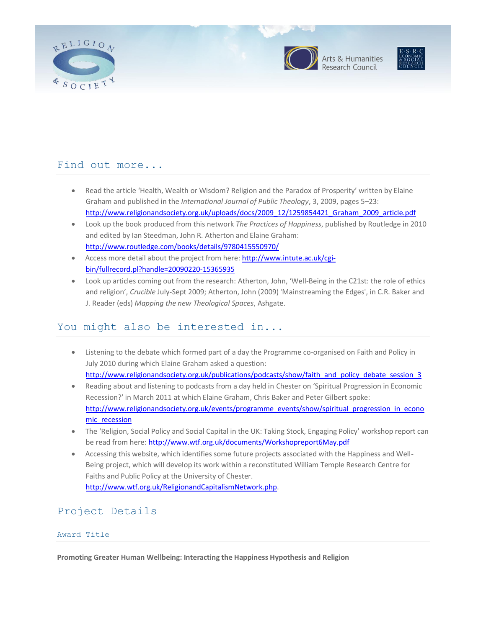





### Find out more...

- Read the article 'Health, Wealth or Wisdom? Religion and the Paradox of Prosperity' written by Elaine Graham and published in the *International Journal of Public Theology*, 3, 2009, pages 5–23: [http://www.religionandsociety.org.uk/uploads/docs/2009\\_12/1259854421\\_Graham\\_2009\\_article.pdf](http://www.religionandsociety.org.uk/uploads/docs/2009_12/1259854421_Graham_2009_article.pdf)
- Look up the book produced from this network *The Practices of Happiness*, published by Routledge in 2010 and edited by Ian Steedman, John R. Atherton and Elaine Graham: <http://www.routledge.com/books/details/9780415550970/>
- Access more detail about the project from here: [http://www.intute.ac.uk/cgi](http://www.intute.ac.uk/cgi-bin/fullrecord.pl?handle=20090220-15365935)[bin/fullrecord.pl?handle=20090220-15365935](http://www.intute.ac.uk/cgi-bin/fullrecord.pl?handle=20090220-15365935)
- Look up articles coming out from the research: Atherton, John, 'Well-Being in the C21st: the role of ethics and religion', *Crucible* July-Sept 2009; Atherton, John (2009) 'Mainstreaming the Edges', in C.R. Baker and J. Reader (eds) *Mapping the new Theological Spaces*, Ashgate.

# You might also be interested in...

- Listening to the debate which formed part of a day the Programme co-organised on Faith and Policy in July 2010 during which Elaine Graham asked a question: [http://www.religionandsociety.org.uk/publications/podcasts/show/faith\\_and\\_policy\\_debate\\_session\\_3](http://www.religionandsociety.org.uk/publications/podcasts/show/faith_and_policy_debate_session_3)
- Reading about and listening to podcasts from a day held in Chester on 'Spiritual Progression in Economic Recession?' in March 2011 at which Elaine Graham, Chris Baker and Peter Gilbert spoke: [http://www.religionandsociety.org.uk/events/programme\\_events/show/spiritual\\_progression\\_in\\_econo](http://www.religionandsociety.org.uk/events/programme_events/show/spiritual_progression_in_economic_recession) [mic\\_recession](http://www.religionandsociety.org.uk/events/programme_events/show/spiritual_progression_in_economic_recession)
- The 'Religion, Social Policy and Social Capital in the UK: Taking Stock, Engaging Policy' workshop report can be read from here:<http://www.wtf.org.uk/documents/Workshopreport6May.pdf>
- Accessing this website, which identifies some future projects associated with the Happiness and Well-Being project, which will develop its work within a reconstituted William Temple Research Centre for Faiths and Public Policy at the University of Chester. [http://www.wtf.org.uk/ReligionandCapitalismNetwork.php.](http://www.wtf.org.uk/ReligionandCapitalismNetwork.php)

# Project Details

#### Award Title

**Promoting Greater Human Wellbeing: Interacting the Happiness Hypothesis and Religion**